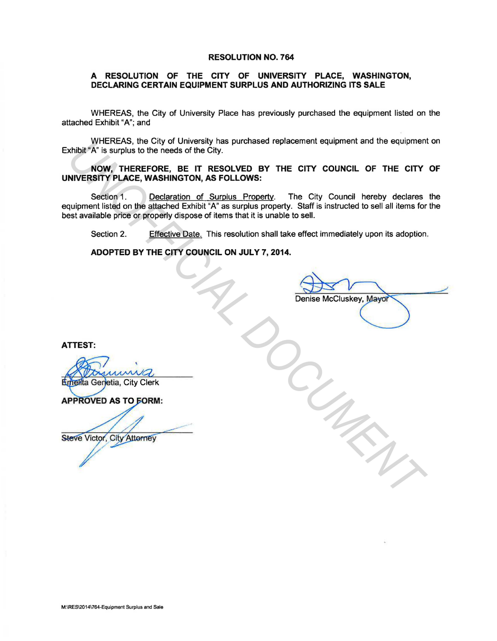## RESOLUTION NO. 764

## A RESOLUTION OF THE CITY OF UNIVERSITY PLACE, WASHINGTON, DECLARING CERTAIN EQUIPMENT SURPLUS AND AUTHORIZING ITS SALE

WHEREAS, the City of University Place has previously purchased the equipment listed on the attached Exhibit "A"; and

WHEREAS, the City of University has purchased replacement equipment and the equipment on Exhibit "A" is surplus to the needs of the City.

NOW, THEREFORE, BE IT RESOLVED BY THE CITY COUNCIL OF THE CITY OF UNIVERSITY PLACE, WASHINGTON, AS FOLLOWS:

Section 1. Declaration of Surplus Property. The City Council hereby declares the equipment listed on the attached Exhibit "A" as surplus property. Staff is instructed to sell all items for the best available price or properly dispose of items that it is unable to sell. Which We FICHER S, the City of University has pictures of replacement equipment and the equipment<br> **NOW, THEREFORE, BE IT RESOLVED BY THE CITY COUNCIL OF THE CITY**<br>
NIVERSITY PLACE, WASHINGTON, AS FOLLOWS:<br>
Section 1. Dece

Section 2. Effective Date. This resolution shall take effect immediately upon its adoption.

ADOPTED BY THE CITY COUNCIL ON JULY 7, 2014.

ATTEST:

M:\RES\20141764-Equipment Surplus and Sale